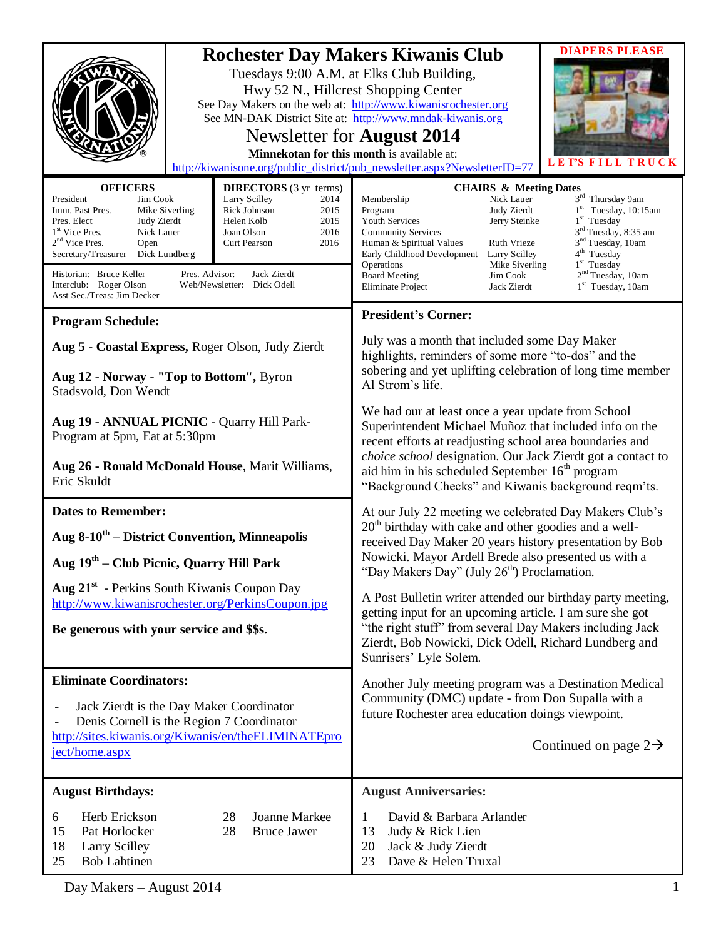| <b>Rochester Day Makers Kiwanis Club</b><br>Tuesdays 9:00 A.M. at Elks Club Building,<br>Hwy 52 N., Hillcrest Shopping Center<br>See Day Makers on the web at: http://www.kiwanisrochester.org<br>Newsletter for <b>August</b> 2014<br>Minnekotan for this month is available at:<br>http://kiwanisone.org/public_district/pub_newsletter.aspx?NewsletterID=77                                                                                                                                                                       |  | <b>DIAPERS PLEASE</b><br>See MN-DAK District Site at: http://www.mndak-kiwanis.org<br>LET'S FILL TRUCK                                                                                                                                                                                                                                                                                                                                                                                                                                                                                                                  |
|--------------------------------------------------------------------------------------------------------------------------------------------------------------------------------------------------------------------------------------------------------------------------------------------------------------------------------------------------------------------------------------------------------------------------------------------------------------------------------------------------------------------------------------|--|-------------------------------------------------------------------------------------------------------------------------------------------------------------------------------------------------------------------------------------------------------------------------------------------------------------------------------------------------------------------------------------------------------------------------------------------------------------------------------------------------------------------------------------------------------------------------------------------------------------------------|
| <b>OFFICERS</b><br><b>DIRECTORS</b> (3 yr terms)<br>President<br>Jim Cook<br>Larry Scilley<br>2014<br>Mike Siverling<br>Rick Johnson<br>2015<br>Imm. Past Pres.<br>2015<br>Pres. Elect<br>Judy Zierdt<br>Helen Kolb<br>1 <sup>st</sup> Vice Pres.<br>Nick Lauer<br>Joan Olson<br>2016<br>$2nd$ Vice Pres.<br>2016<br>Curt Pearson<br>Open<br>Secretary/Treasurer<br>Dick Lundberg<br>Historian: Bruce Keller<br>Pres. Advisor:<br>Jack Zierdt<br>Interclub: Roger Olson<br>Web/Newsletter: Dick Odell<br>Asst Sec./Treas: Jim Decker |  | <b>CHAIRS &amp; Meeting Dates</b><br>3rd Thursday 9am<br>Nick Lauer<br>Membership<br>$1st$ Tuesday, 10:15am<br>Judy Zierdt<br>Program<br>Jerry Steinke<br>$1st$ Tuesday<br><b>Youth Services</b><br>3 <sup>rd</sup> Tuesday, 8:35 am<br><b>Community Services</b><br>3 <sup>nd</sup> Tuesday, 10am<br><b>Ruth Vrieze</b><br>Human & Spiritual Values<br>4 <sup>th</sup> Tuesday<br>Larry Scilley<br>Early Childhood Development<br>$1st$ Tuesday<br>Operations<br>Mike Siverling<br>2 <sup>nd</sup> Tuesday, 10am<br><b>Board Meeting</b><br>Jim Cook<br>$1st$ Tuesday, 10am<br><b>Eliminate Project</b><br>Jack Zierdt |
| <b>Program Schedule:</b>                                                                                                                                                                                                                                                                                                                                                                                                                                                                                                             |  | <b>President's Corner:</b>                                                                                                                                                                                                                                                                                                                                                                                                                                                                                                                                                                                              |
|                                                                                                                                                                                                                                                                                                                                                                                                                                                                                                                                      |  | July was a month that included some Day Maker                                                                                                                                                                                                                                                                                                                                                                                                                                                                                                                                                                           |
| Aug 5 - Coastal Express, Roger Olson, Judy Zierdt                                                                                                                                                                                                                                                                                                                                                                                                                                                                                    |  | highlights, reminders of some more "to-dos" and the                                                                                                                                                                                                                                                                                                                                                                                                                                                                                                                                                                     |
| Aug 12 - Norway - "Top to Bottom", Byron<br>Stadsvold, Don Wendt                                                                                                                                                                                                                                                                                                                                                                                                                                                                     |  | sobering and yet uplifting celebration of long time member<br>Al Strom's life.                                                                                                                                                                                                                                                                                                                                                                                                                                                                                                                                          |
| Aug 19 - ANNUAL PICNIC - Quarry Hill Park-<br>Program at 5pm, Eat at 5:30pm                                                                                                                                                                                                                                                                                                                                                                                                                                                          |  | We had our at least once a year update from School<br>Superintendent Michael Muñoz that included info on the<br>recent efforts at readjusting school area boundaries and                                                                                                                                                                                                                                                                                                                                                                                                                                                |
| Aug 26 - Ronald McDonald House, Marit Williams,<br>Eric Skuldt                                                                                                                                                                                                                                                                                                                                                                                                                                                                       |  | choice school designation. Our Jack Zierdt got a contact to<br>aid him in his scheduled September 16 <sup>th</sup> program<br>"Background Checks" and Kiwanis background reqm'ts.                                                                                                                                                                                                                                                                                                                                                                                                                                       |
| <b>Dates to Remember:</b>                                                                                                                                                                                                                                                                                                                                                                                                                                                                                                            |  | At our July 22 meeting we celebrated Day Makers Club's                                                                                                                                                                                                                                                                                                                                                                                                                                                                                                                                                                  |
| Aug 8-10 <sup>th</sup> – District Convention, Minneapolis                                                                                                                                                                                                                                                                                                                                                                                                                                                                            |  | $20th$ birthday with cake and other goodies and a well-<br>received Day Maker 20 years history presentation by Bob<br>Nowicki. Mayor Ardell Brede also presented us with a                                                                                                                                                                                                                                                                                                                                                                                                                                              |
| Aug $19th$ – Club Picnic, Quarry Hill Park                                                                                                                                                                                                                                                                                                                                                                                                                                                                                           |  | "Day Makers Day" (July 26 <sup>th</sup> ) Proclamation.                                                                                                                                                                                                                                                                                                                                                                                                                                                                                                                                                                 |
| Aug 21 <sup>st</sup> - Perkins South Kiwanis Coupon Day                                                                                                                                                                                                                                                                                                                                                                                                                                                                              |  | A Post Bulletin writer attended our birthday party meeting,                                                                                                                                                                                                                                                                                                                                                                                                                                                                                                                                                             |
| http://www.kiwanisrochester.org/PerkinsCoupon.jpg                                                                                                                                                                                                                                                                                                                                                                                                                                                                                    |  | getting input for an upcoming article. I am sure she got                                                                                                                                                                                                                                                                                                                                                                                                                                                                                                                                                                |
| Be generous with your service and \$\$s.                                                                                                                                                                                                                                                                                                                                                                                                                                                                                             |  | "the right stuff" from several Day Makers including Jack<br>Zierdt, Bob Nowicki, Dick Odell, Richard Lundberg and<br>Sunrisers' Lyle Solem.                                                                                                                                                                                                                                                                                                                                                                                                                                                                             |
| <b>Eliminate Coordinators:</b>                                                                                                                                                                                                                                                                                                                                                                                                                                                                                                       |  | Another July meeting program was a Destination Medical                                                                                                                                                                                                                                                                                                                                                                                                                                                                                                                                                                  |
| Jack Zierdt is the Day Maker Coordinator<br>$\qquad \qquad -$<br>Denis Cornell is the Region 7 Coordinator                                                                                                                                                                                                                                                                                                                                                                                                                           |  | Community (DMC) update - from Don Supalla with a<br>future Rochester area education doings viewpoint.                                                                                                                                                                                                                                                                                                                                                                                                                                                                                                                   |
| http://sites.kiwanis.org/Kiwanis/en/theELIMINATEpro<br>ject/home.aspx                                                                                                                                                                                                                                                                                                                                                                                                                                                                |  | Continued on page $2\rightarrow$                                                                                                                                                                                                                                                                                                                                                                                                                                                                                                                                                                                        |
| <b>August Birthdays:</b>                                                                                                                                                                                                                                                                                                                                                                                                                                                                                                             |  | <b>August Anniversaries:</b>                                                                                                                                                                                                                                                                                                                                                                                                                                                                                                                                                                                            |
| Joanne Markee<br>Herb Erickson<br>28<br>6<br><b>Bruce Jawer</b><br>15<br>Pat Horlocker<br>28<br>18<br><b>Larry Scilley</b><br>25<br><b>Bob Lahtinen</b>                                                                                                                                                                                                                                                                                                                                                                              |  | David & Barbara Arlander<br>1<br>Judy & Rick Lien<br>13<br>Jack & Judy Zierdt<br>20<br>Dave & Helen Truxal<br>23                                                                                                                                                                                                                                                                                                                                                                                                                                                                                                        |

Day Makers – August 2014 1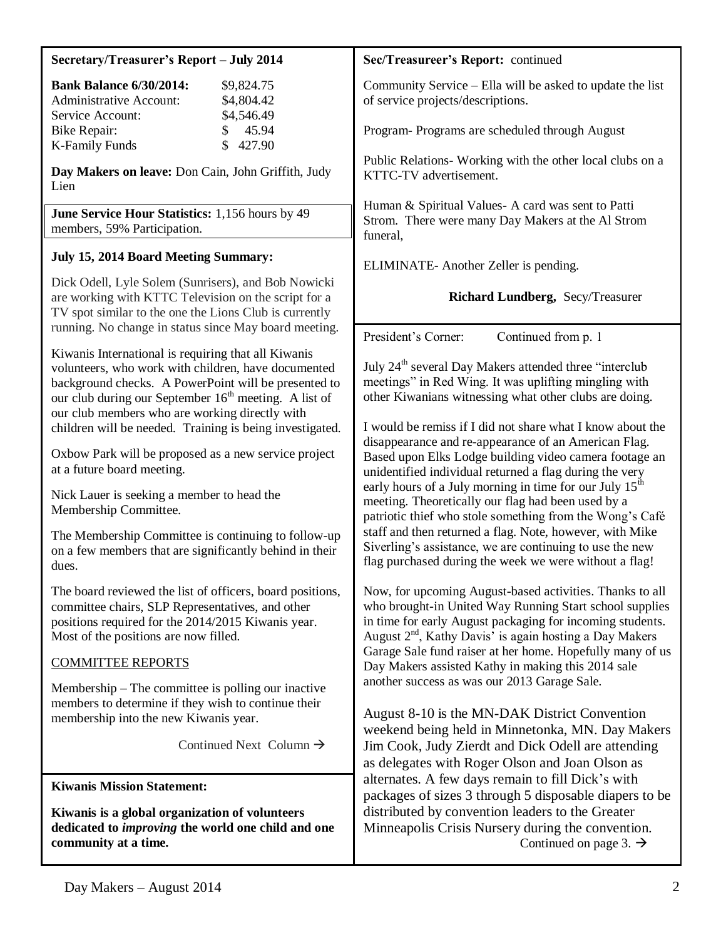| Secretary/Treasurer's Report - July 2014                                                                                                                                                                                                                                                  | Sec/Treasureer's Report: continued                                                                                                                                                                                                                                                                                                                                                                                                                                                                                                                                                                                                                                                                                                                                                                                                                                                                                                                                                                                                                                                                                                                                                                                                                                                                    |
|-------------------------------------------------------------------------------------------------------------------------------------------------------------------------------------------------------------------------------------------------------------------------------------------|-------------------------------------------------------------------------------------------------------------------------------------------------------------------------------------------------------------------------------------------------------------------------------------------------------------------------------------------------------------------------------------------------------------------------------------------------------------------------------------------------------------------------------------------------------------------------------------------------------------------------------------------------------------------------------------------------------------------------------------------------------------------------------------------------------------------------------------------------------------------------------------------------------------------------------------------------------------------------------------------------------------------------------------------------------------------------------------------------------------------------------------------------------------------------------------------------------------------------------------------------------------------------------------------------------|
| <b>Bank Balance 6/30/2014:</b><br>\$9,824.75<br>\$4,804.42<br><b>Administrative Account:</b><br>\$4,546.49                                                                                                                                                                                | Community Service – Ella will be asked to update the list<br>of service projects/descriptions.                                                                                                                                                                                                                                                                                                                                                                                                                                                                                                                                                                                                                                                                                                                                                                                                                                                                                                                                                                                                                                                                                                                                                                                                        |
| Service Account:<br>45.94<br><b>Bike Repair:</b><br>\$<br>$\mathbb{S}$<br>427.90<br><b>K-Family Funds</b>                                                                                                                                                                                 | Program- Programs are scheduled through August                                                                                                                                                                                                                                                                                                                                                                                                                                                                                                                                                                                                                                                                                                                                                                                                                                                                                                                                                                                                                                                                                                                                                                                                                                                        |
| Day Makers on leave: Don Cain, John Griffith, Judy<br>Lien                                                                                                                                                                                                                                | Public Relations- Working with the other local clubs on a<br>KTTC-TV advertisement.                                                                                                                                                                                                                                                                                                                                                                                                                                                                                                                                                                                                                                                                                                                                                                                                                                                                                                                                                                                                                                                                                                                                                                                                                   |
| June Service Hour Statistics: 1,156 hours by 49<br>members, 59% Participation.                                                                                                                                                                                                            | Human & Spiritual Values- A card was sent to Patti<br>Strom. There were many Day Makers at the Al Strom<br>funeral,                                                                                                                                                                                                                                                                                                                                                                                                                                                                                                                                                                                                                                                                                                                                                                                                                                                                                                                                                                                                                                                                                                                                                                                   |
| July 15, 2014 Board Meeting Summary:                                                                                                                                                                                                                                                      | ELIMINATE- Another Zeller is pending.                                                                                                                                                                                                                                                                                                                                                                                                                                                                                                                                                                                                                                                                                                                                                                                                                                                                                                                                                                                                                                                                                                                                                                                                                                                                 |
| Dick Odell, Lyle Solem (Sunrisers), and Bob Nowicki<br>are working with KTTC Television on the script for a<br>TV spot similar to the one the Lions Club is currently                                                                                                                     | Richard Lundberg, Secy/Treasurer                                                                                                                                                                                                                                                                                                                                                                                                                                                                                                                                                                                                                                                                                                                                                                                                                                                                                                                                                                                                                                                                                                                                                                                                                                                                      |
| running. No change in status since May board meeting.                                                                                                                                                                                                                                     | President's Corner:<br>Continued from p. 1                                                                                                                                                                                                                                                                                                                                                                                                                                                                                                                                                                                                                                                                                                                                                                                                                                                                                                                                                                                                                                                                                                                                                                                                                                                            |
| Kiwanis International is requiring that all Kiwanis<br>volunteers, who work with children, have documented<br>background checks. A PowerPoint will be presented to<br>our club during our September 16 <sup>th</sup> meeting. A list of<br>our club members who are working directly with | July 24 <sup>th</sup> several Day Makers attended three "interclub<br>meetings" in Red Wing. It was uplifting mingling with<br>other Kiwanians witnessing what other clubs are doing.                                                                                                                                                                                                                                                                                                                                                                                                                                                                                                                                                                                                                                                                                                                                                                                                                                                                                                                                                                                                                                                                                                                 |
| children will be needed. Training is being investigated.                                                                                                                                                                                                                                  | I would be remiss if I did not share what I know about the                                                                                                                                                                                                                                                                                                                                                                                                                                                                                                                                                                                                                                                                                                                                                                                                                                                                                                                                                                                                                                                                                                                                                                                                                                            |
| Oxbow Park will be proposed as a new service project<br>at a future board meeting.                                                                                                                                                                                                        | disappearance and re-appearance of an American Flag.<br>Based upon Elks Lodge building video camera footage an<br>unidentified individual returned a flag during the very<br>early hours of a July morning in time for our July 15 <sup>th</sup><br>meeting. Theoretically our flag had been used by a<br>patriotic thief who stole something from the Wong's Café<br>staff and then returned a flag. Note, however, with Mike<br>Siverling's assistance, we are continuing to use the new<br>flag purchased during the week we were without a flag!<br>Now, for upcoming August-based activities. Thanks to all<br>who brought-in United Way Running Start school supplies<br>in time for early August packaging for incoming students.<br>August $2nd$ , Kathy Davis' is again hosting a Day Makers<br>Garage Sale fund raiser at her home. Hopefully many of us<br>Day Makers assisted Kathy in making this 2014 sale<br>another success as was our 2013 Garage Sale.<br>August 8-10 is the MN-DAK District Convention<br>weekend being held in Minnetonka, MN. Day Makers<br>Jim Cook, Judy Zierdt and Dick Odell are attending<br>as delegates with Roger Olson and Joan Olson as<br>alternates. A few days remain to fill Dick's with<br>packages of sizes 3 through 5 disposable diapers to be |
| Nick Lauer is seeking a member to head the<br>Membership Committee.                                                                                                                                                                                                                       |                                                                                                                                                                                                                                                                                                                                                                                                                                                                                                                                                                                                                                                                                                                                                                                                                                                                                                                                                                                                                                                                                                                                                                                                                                                                                                       |
| The Membership Committee is continuing to follow-up<br>on a few members that are significantly behind in their<br>dues.                                                                                                                                                                   |                                                                                                                                                                                                                                                                                                                                                                                                                                                                                                                                                                                                                                                                                                                                                                                                                                                                                                                                                                                                                                                                                                                                                                                                                                                                                                       |
| The board reviewed the list of officers, board positions,<br>committee chairs, SLP Representatives, and other<br>positions required for the 2014/2015 Kiwanis year.<br>Most of the positions are now filled.                                                                              |                                                                                                                                                                                                                                                                                                                                                                                                                                                                                                                                                                                                                                                                                                                                                                                                                                                                                                                                                                                                                                                                                                                                                                                                                                                                                                       |
| <b>COMMITTEE REPORTS</b>                                                                                                                                                                                                                                                                  |                                                                                                                                                                                                                                                                                                                                                                                                                                                                                                                                                                                                                                                                                                                                                                                                                                                                                                                                                                                                                                                                                                                                                                                                                                                                                                       |
| Membership – The committee is polling our inactive<br>members to determine if they wish to continue their<br>membership into the new Kiwanis year.                                                                                                                                        |                                                                                                                                                                                                                                                                                                                                                                                                                                                                                                                                                                                                                                                                                                                                                                                                                                                                                                                                                                                                                                                                                                                                                                                                                                                                                                       |
| Continued Next Column $\rightarrow$                                                                                                                                                                                                                                                       |                                                                                                                                                                                                                                                                                                                                                                                                                                                                                                                                                                                                                                                                                                                                                                                                                                                                                                                                                                                                                                                                                                                                                                                                                                                                                                       |
| <b>Kiwanis Mission Statement:</b>                                                                                                                                                                                                                                                         |                                                                                                                                                                                                                                                                                                                                                                                                                                                                                                                                                                                                                                                                                                                                                                                                                                                                                                                                                                                                                                                                                                                                                                                                                                                                                                       |
| Kiwanis is a global organization of volunteers<br>dedicated to <i>improving</i> the world one child and one<br>community at a time.                                                                                                                                                       | distributed by convention leaders to the Greater<br>Minneapolis Crisis Nursery during the convention.<br>Continued on page 3. $\rightarrow$                                                                                                                                                                                                                                                                                                                                                                                                                                                                                                                                                                                                                                                                                                                                                                                                                                                                                                                                                                                                                                                                                                                                                           |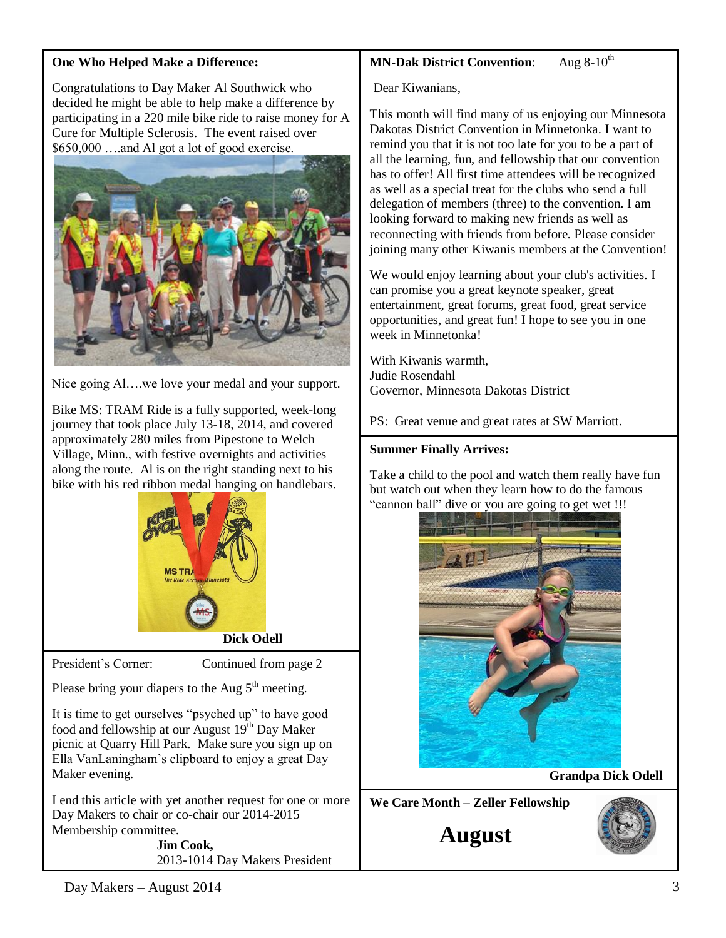## **One Who Helped Make a Difference:**

Congratulations to Day Maker Al Southwick who decided he might be able to help make a difference by participating in a 220 mile bike ride to raise money for A Cure for Multiple Sclerosis. The event raised over \$650,000 ….and Al got a lot of good exercise.



Nice going Al….we love your medal and your support.

Bike MS: TRAM Ride is a fully supported, week-long journey that took place July 13-18, 2014, and covered approximately 280 miles from Pipestone to Welch Village, Minn., with festive overnights and activities along the route. Al is on the right standing next to his bike with his red ribbon medal hanging on handlebars.



President's Corner: Continued from page 2

Please bring your diapers to the Aug  $5<sup>th</sup>$  meeting.

It is time to get ourselves "psyched up" to have good food and fellowship at our August  $19<sup>th</sup>$  Day Maker picnic at Quarry Hill Park. Make sure you sign up on Ella VanLaningham's clipboard to enjoy a great Day Maker evening.

I end this article with yet another request for one or more Day Makers to chair or co-chair our 2014-2015 Membership committee.

> **Jim Cook,** 2013-1014 Day Makers President

## **MN-Dak District Convention:** Aug 8-10<sup>th</sup>

Dear Kiwanians,

This month will find many of us enjoying our Minnesota Dakotas District Convention in Minnetonka. I want to remind you that it is not too late for you to be a part of all the learning, fun, and fellowship that our convention has to offer! All first time attendees will be recognized as well as a special treat for the clubs who send a full delegation of members (three) to the convention. I am looking forward to making new friends as well as reconnecting with friends from before. Please consider joining many other Kiwanis members at the Convention!

We would enjoy learning about your club's activities. I can promise you a great keynote speaker, great entertainment, great forums, great food, great service opportunities, and great fun! I hope to see you in one week in Minnetonka!

With Kiwanis warmth, Judie Rosendahl Governor, Minnesota Dakotas District

PS: Great venue and great rates at SW Marriott.

## **Summer Finally Arrives:**

Take a child to the pool and watch them really have fun but watch out when they learn how to do the famous "cannon ball" dive or you are going to get wet !!!



 **Grandpa Dick Odell**

**We Care Month – Zeller Fellowship**

**August**